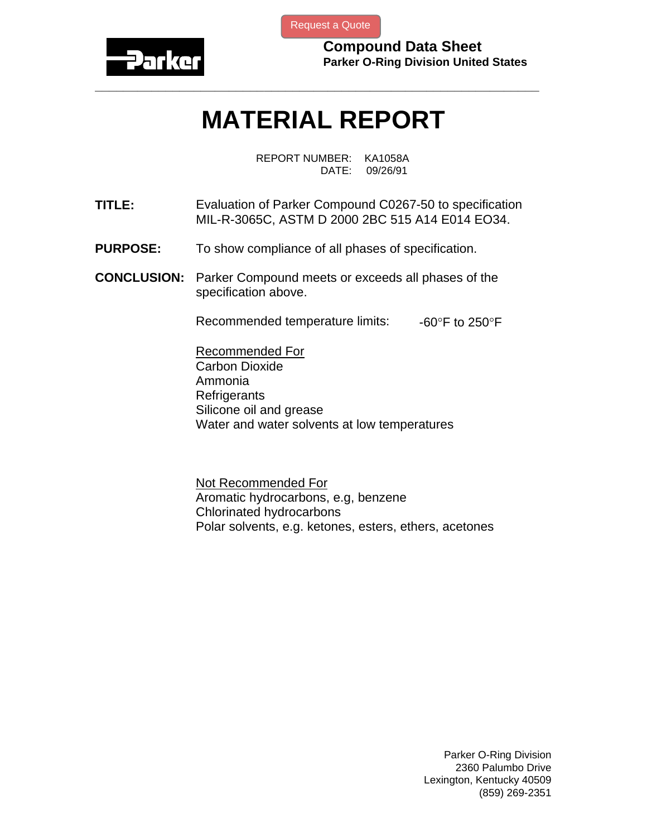

[Request a Quote](http://www.marcorubber.com/contact_quote.htm?material=Parker+C0267-50)

**Compound Data Sheet Parker O-Ring Division United States** 

## **MATERIAL REPORT**

**\_\_\_\_\_\_\_\_\_\_\_\_\_\_\_\_\_\_\_\_\_\_\_\_\_\_\_\_\_\_\_\_\_\_\_\_\_\_\_\_\_\_\_\_\_\_\_\_\_\_\_\_\_\_\_\_\_\_\_\_\_\_\_** 

REPORT NUMBER: KA1058A DATE: 09/26/91

- **TITLE:** Evaluation of Parker Compound C0267-50 to specification MIL-R-3065C, ASTM D 2000 2BC 515 A14 E014 EO34.
- **PURPOSE:** To show compliance of all phases of specification.
- **CONCLUSION:** Parker Compound meets or exceeds all phases of the specification above.

Recommended temperature limits:  $-60^{\circ}$ F to 250°F

Recommended For Carbon Dioxide Ammonia **Refrigerants** Silicone oil and grease Water and water solvents at low temperatures

Not Recommended For Aromatic hydrocarbons, e.g, benzene Chlorinated hydrocarbons Polar solvents, e.g. ketones, esters, ethers, acetones

> Parker O-Ring Division 2360 Palumbo Drive Lexington, Kentucky 40509 (859) 269-2351